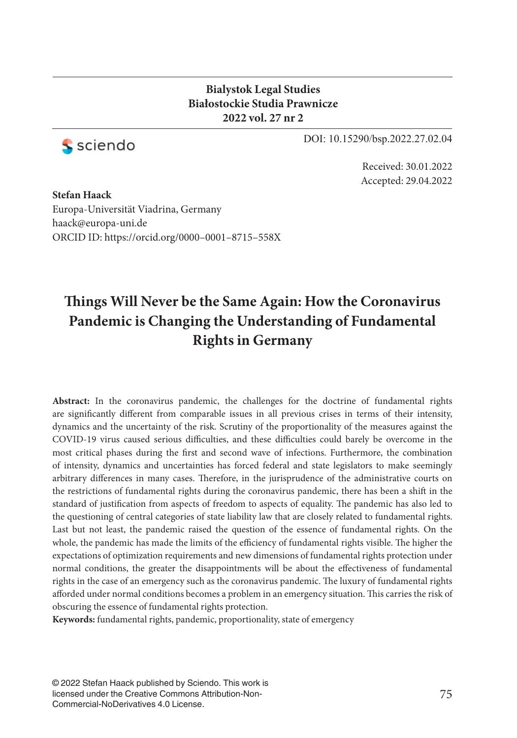### **Bialystok Legal Studies Białostockie Studia Prawnicze 2022 vol. 27 nr 2**



DOI: 10.15290/bsp.2022.27.02.04

Received: 30.01.2022 Accepted: 29.04.2022

**Stefan Haack** Europa-Universität Viadrina, Germany haack@europa-uni.de ORCID ID: https://orcid.org/0000–0001–8715–558X

# **Things Will Never be the Same Again: How the Coronavirus Pandemic is Changing the Understanding of Fundamental Rights in Germany**

**Abstract:** In the coronavirus pandemic, the challenges for the doctrine of fundamental rights are significantly different from comparable issues in all previous crises in terms of their intensity, dynamics and the uncertainty of the risk. Scrutiny of the proportionality of the measures against the COVID-19 virus caused serious difficulties, and these difficulties could barely be overcome in the most critical phases during the first and second wave of infections. Furthermore, the combination of intensity, dynamics and uncertainties has forced federal and state legislators to make seemingly arbitrary differences in many cases. Therefore, in the jurisprudence of the administrative courts on the restrictions of fundamental rights during the coronavirus pandemic, there has been a shift in the standard of justification from aspects of freedom to aspects of equality. The pandemic has also led to the questioning of central categories of state liability law that are closely related to fundamental rights. Last but not least, the pandemic raised the question of the essence of fundamental rights. On the whole, the pandemic has made the limits of the efficiency of fundamental rights visible. The higher the expectations of optimization requirements and new dimensions of fundamental rights protection under normal conditions, the greater the disappointments will be about the effectiveness of fundamental rights in the case of an emergency such as the coronavirus pandemic. The luxury of fundamental rights afforded under normal conditions becomes a problem in an emergency situation. This carries the risk of obscuring the essence of fundamental rights protection.

**Keywords:** fundamental rights, pandemic, proportionality, state of emergency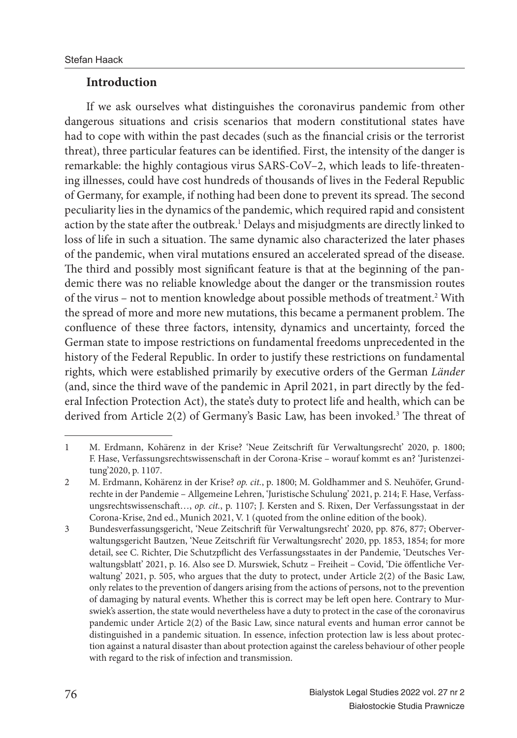### **Introduction**

If we ask ourselves what distinguishes the coronavirus pandemic from other dangerous situations and crisis scenarios that modern constitutional states have had to cope with within the past decades (such as the financial crisis or the terrorist threat), three particular features can be identified. First, the intensity of the danger is remarkable: the highly contagious virus SARS-CoV–2, which leads to life-threatening illnesses, could have cost hundreds of thousands of lives in the Federal Republic of Germany, for example, if nothing had been done to prevent its spread. The second peculiarity lies in the dynamics of the pandemic, which required rapid and consistent action by the state after the outbreak.<sup>1</sup> Delays and misjudgments are directly linked to loss of life in such a situation. The same dynamic also characterized the later phases of the pandemic, when viral mutations ensured an accelerated spread of the disease. The third and possibly most significant feature is that at the beginning of the pandemic there was no reliable knowledge about the danger or the transmission routes of the virus - not to mention knowledge about possible methods of treatment.<sup>2</sup> With the spread of more and more new mutations, this became a permanent problem. The confluence of these three factors, intensity, dynamics and uncertainty, forced the German state to impose restrictions on fundamental freedoms unprecedented in the history of the Federal Republic. In order to justify these restrictions on fundamental rights, which were established primarily by executive orders of the German *Länder* (and, since the third wave of the pandemic in April 2021, in part directly by the federal Infection Protection Act), the state's duty to protect life and health, which can be derived from Article 2(2) of Germany's Basic Law, has been invoked.<sup>3</sup> The threat of

<sup>1</sup> M. Erdmann, Kohärenz in der Krise? 'Neue Zeitschrift für Verwaltungsrecht' 2020, p. 1800; F. Hase, Verfassungsrechtswissenschaft in der Corona-Krise – worauf kommt es an? 'Juristenzeitung'2020, p. 1107.

<sup>2</sup> M. Erdmann, Kohärenz in der Krise? *op. cit.*, p. 1800; M. Goldhammer and S. Neuhöfer, Grundrechte in der Pandemie – Allgemeine Lehren, 'Juristische Schulung' 2021, p. 214; F. Hase, Verfassungsrechtswissenschaft..., op. cit., p. 1107; J. Kersten and S. Rixen, Der Verfassungsstaat in der Corona-Krise, 2nd ed., Munich 2021, V. 1 (quoted from the online edition of the book).

<sup>3</sup> Bundesverfassungsgericht, 'Neue Zeitschrift für Verwaltungsrecht' 2020, pp. 876, 877; Oberverwaltungsgericht Bautzen, 'Neue Zeitschrift für Verwaltungsrecht' 2020, pp. 1853, 1854; for more detail, see C. Richter, Die Schutzpflicht des Verfassungsstaates in der Pandemie, 'Deutsches Verwaltungsblatt' 2021, p. 16. Also see D. Murswiek, Schutz – Freiheit – Covid, 'Die öffentliche Verwaltung' 2021, p. 505, who argues that the duty to protect, under Article 2(2) of the Basic Law, only relates to the prevention of dangers arising from the actions of persons, not to the prevention of damaging by natural events. Whether this is correct may be left open here. Contrary to Murswiek's assertion, the state would nevertheless have a duty to protect in the case of the coronavirus pandemic under Article 2(2) of the Basic Law, since natural events and human error cannot be distinguished in a pandemic situation. In essence, infection protection law is less about protection against a natural disaster than about protection against the careless behaviour of other people with regard to the risk of infection and transmission.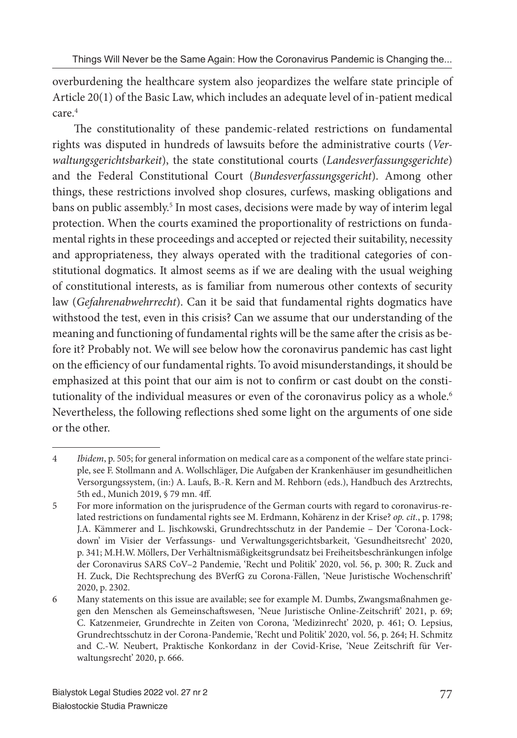overburdening the healthcare system also jeopardizes the welfare state principle of Article 20(1) of the Basic Law, which includes an adequate level of in-patient medical  $c$ are $4$ 

The constitutionality of these pandemic-related restrictions on fundamental rights was disputed in hundreds of lawsuits before the administrative courts (*Verwaltungsgerichtsbarkeit*), the state constitutional courts (*Landesverfassungsgerichte*) and the Federal Constitutional Court (*Bundesverfassungsgericht*). Among other things, these restrictions involved shop closures, curfews, masking obligations and bans on public assembly.<sup>5</sup> In most cases, decisions were made by way of interim legal protection. When the courts examined the proportionality of restrictions on fundamental rights in these proceedings and accepted or rejected their suitability, necessity and appropriateness, they always operated with the traditional categories of constitutional dogmatics. It almost seems as if we are dealing with the usual weighing of constitutional interests, as is familiar from numerous other contexts of security law (*Gefahrenabwehrrecht*). Can it be said that fundamental rights dogmatics have withstood the test, even in this crisis? Can we assume that our understanding of the meaning and functioning of fundamental rights will be the same after the crisis as before it? Probably not. We will see below how the coronavirus pandemic has cast light on the efficiency of our fundamental rights. To avoid misunderstandings, it should be emphasized at this point that our aim is not to confirm or cast doubt on the constitutionality of the individual measures or even of the coronavirus policy as a whole.<sup>6</sup> Nevertheless, the following reflections shed some light on the arguments of one side or the other.

<sup>4</sup> *Ibidem*, p. 505; for general information on medical care as a component of the welfare state principle, see F. Stollmann and A. Wollschläger, Die Aufgaben der Krankenhäuser im gesundheitlichen Versorgungssystem, (in:) A. Laufs, B.-R. Kern and M. Rehborn (eds.), Handbuch des Arztrechts, 5th ed., Munich 2019, § 79 mn. 4ff .

<sup>5</sup> For more information on the jurisprudence of the German courts with regard to coronavirus-related restrictions on fundamental rights see M. Erdmann, Kohärenz in der Krise? *op. cit.*, p. 1798; J.A. Kämmerer and L. Jischkowski, Grundrechtsschutz in der Pandemie – Der 'Corona-Lockdown' im Visier der Verfassungs- und Verwaltungsgerichtsbarkeit, 'Gesundheitsrecht' 2020, p. 341; M.H.W. Möllers, Der Verhältnismäßigkeitsgrundsatz bei Freiheitsbeschränkungen infolge der Coronavirus SARS CoV–2 Pandemie, 'Recht und Politik' 2020, vol. 56, p. 300; R. Zuck and H. Zuck, Die Rechtsprechung des BVerfG zu Corona-Fällen, 'Neue Juristische Wochenschrift' 2020, p. 2302.

<sup>6</sup> Many statements on this issue are available; see for example M. Dumbs, Zwangsmaßnahmen gegen den Menschen als Gemeinschaftswesen, 'Neue Juristische Online-Zeitschrift' 2021, p. 69; C. Katzenmeier, Grundrechte in Zeiten von Corona, 'Medizinrecht' 2020, p. 461; O. Lepsius, Grundrechtsschutz in der Corona-Pandemie, 'Recht und Politik' 2020, vol. 56, p. 264; H. Schmitz and C.-W. Neubert, Praktische Konkordanz in der Covid-Krise, 'Neue Zeitschrift für Verwaltungsrecht' 2020, p. 666.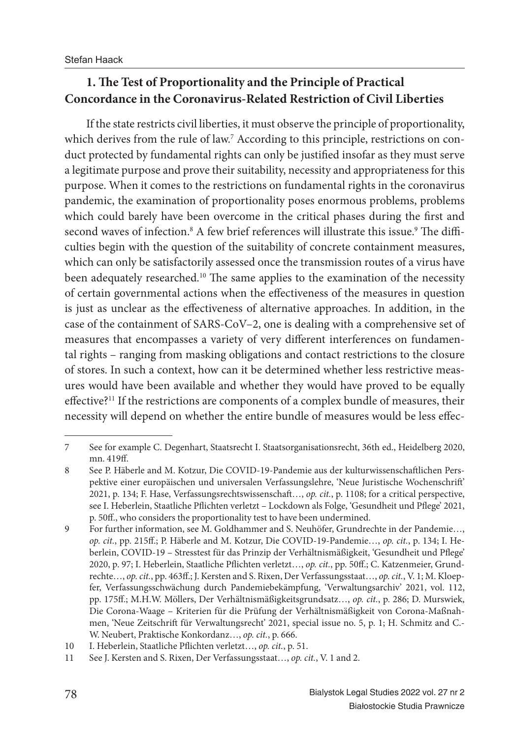## **1. The Test of Proportionality and the Principle of Practical Concordance in the Coronavirus-Related Restriction of Civil Liberties**

If the state restricts civil liberties, it must observe the principle of proportionality, which derives from the rule of law.<sup>7</sup> According to this principle, restrictions on conduct protected by fundamental rights can only be justified insofar as they must serve a legitimate purpose and prove their suitability, necessity and appropriateness for this purpose. When it comes to the restrictions on fundamental rights in the coronavirus pandemic, the examination of proportionality poses enormous problems, problems which could barely have been overcome in the critical phases during the first and second waves of infection.<sup>8</sup> A few brief references will illustrate this issue.<sup>9</sup> The difficulties begin with the question of the suitability of concrete containment measures, which can only be satisfactorily assessed once the transmission routes of a virus have been adequately researched.<sup>10</sup> The same applies to the examination of the necessity of certain governmental actions when the effectiveness of the measures in question is just as unclear as the effectiveness of alternative approaches. In addition, in the case of the containment of SARS-CoV–2, one is dealing with a comprehensive set of measures that encompasses a variety of very different interferences on fundamental rights – ranging from masking obligations and contact restrictions to the closure of stores. In such a context, how can it be determined whether less restrictive measures would have been available and whether they would have proved to be equally effective?<sup>11</sup> If the restrictions are components of a complex bundle of measures, their necessity will depend on whether the entire bundle of measures would be less effec-

<sup>7</sup> See for example C. Degenhart, Staatsrecht I. Staatsorganisationsrecht, 36th ed., Heidelberg 2020, mn. 419ff.

<sup>8</sup> See P. Häberle and M. Kotzur, Die COVID-19-Pandemie aus der kulturwissenschaftlichen Perspektive einer europäischen und universalen Verfassungslehre, 'Neue Juristische Wochenschrift' 2021, p. 134; F. Hase, Verfassungsrechtswissenschaft …, *op. cit.*, p. 1108; for a critical perspective, see I. Heberlein, Staatliche Pflichten verletzt - Lockdown als Folge, 'Gesundheit und Pflege' 2021, p. 50ff., who considers the proportionality test to have been undermined.

<sup>9</sup> For further information, see M. Goldhammer and S. Neuhöfer, Grundrechte in der Pandemie…, *op. cit.*, pp. 215ff .; P. Häberle and M. Kotzur, Die COVID-19-Pandemie…, *op. cit.*, p. 134; I. Heberlein, COVID-19 – Stresstest für das Prinzip der Verhältnismäßigkeit, 'Gesundheit und Pflege' 2020, p. 97; I. Heberlein, Staatliche Pflichten verletzt..., op. cit., pp. 50ff.; C. Katzenmeier, Grundrechte…, *op. cit.*, pp. 463ff .; J. Kersten and S. Rixen, Der Verfassungsstaat…, *op. cit.*, V. 1; M. Kloepfer, Verfassungsschwächung durch Pandemiebekämpfung, 'Verwaltungsarchiv' 2021, vol. 112, pp. 175ff .; M.H.W. Möllers, Der Verhältnismäßigkeitsgrundsatz…, *op. cit.*, p. 286; D. Murswiek, Die Corona-Waage – Kriterien für die Prüfung der Verhältnismäßigkeit von Corona-Maßnahmen, 'Neue Zeitschrift für Verwaltungsrecht' 2021, special issue no. 5, p. 1; H. Schmitz and C.- W. Neubert, Praktische Konkordanz…, *op. cit.*, p. 666.

<sup>10</sup> I. Heberlein, Staatliche Pflichten verletzt..., *op. cit.*, p. 51.

<sup>11</sup> See J. Kersten and S. Rixen, Der Verfassungsstaat…, *op. cit.*, V. 1 and 2.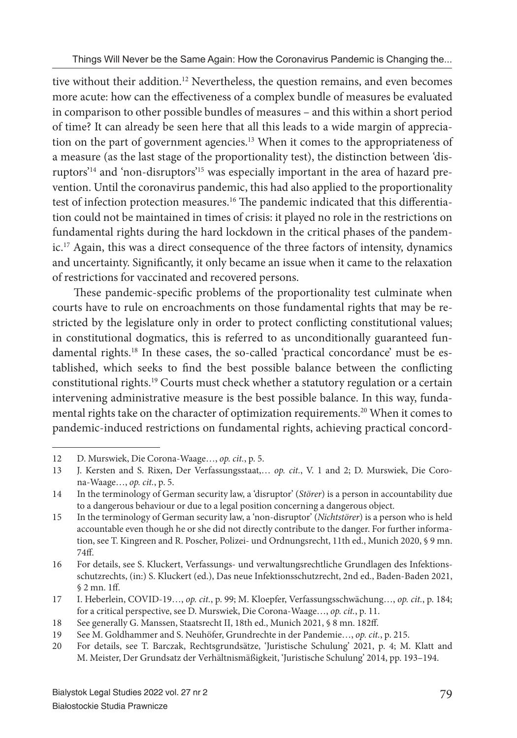tive without their addition.<sup>12</sup> Nevertheless, the question remains, and even becomes more acute: how can the effectiveness of a complex bundle of measures be evaluated in comparison to other possible bundles of measures – and this within a short period of time? It can already be seen here that all this leads to a wide margin of appreciation on the part of government agencies.13 When it comes to the appropriateness of a measure (as the last stage of the proportionality test), the distinction between 'disruptors'14 and 'non-disruptors'15 was especially important in the area of hazard prevention. Until the coronavirus pandemic, this had also applied to the proportionality test of infection protection measures.<sup>16</sup> The pandemic indicated that this differentiation could not be maintained in times of crisis: it played no role in the restrictions on fundamental rights during the hard lockdown in the critical phases of the pandemic.17 Again, this was a direct consequence of the three factors of intensity, dynamics and uncertainty. Significantly, it only became an issue when it came to the relaxation of restrictions for vaccinated and recovered persons.

These pandemic-specific problems of the proportionality test culminate when courts have to rule on encroachments on those fundamental rights that may be restricted by the legislature only in order to protect conflicting constitutional values; in constitutional dogmatics, this is referred to as unconditionally guaranteed fundamental rights.18 In these cases, the so-called 'practical concordance' must be established, which seeks to find the best possible balance between the conflicting constitutional rights.19 Courts must check whether a statutory regulation or a certain intervening administrative measure is the best possible balance. In this way, fundamental rights take on the character of optimization requirements.20 When it comes to pandemic-induced restrictions on fundamental rights, achieving practical concord-

<sup>12</sup> D. Murswiek, Die Corona-Waage…, *op. cit.*, p. 5.

<sup>13</sup> J. Kersten and S. Rixen, Der Verfassungsstaat,… *op. cit.*, V. 1 and 2; D. Murswiek, Die Corona-Waage…, *op. cit.*, p. 5.

<sup>14</sup> In the terminology of German security law, a 'disruptor' (*Störer*) is a person in accountability due to a dangerous behaviour or due to a legal position concerning a dangerous object.

<sup>15</sup> In the terminology of German security law, a 'non-disruptor' (*Nichtstörer*) is a person who is held accountable even though he or she did not directly contribute to the danger. For further information, see T. Kingreen and R. Poscher, Polizei- und Ordnungsrecht, 11th ed., Munich 2020, § 9 mn. 74ff.

<sup>16</sup> For details, see S. Kluckert, Verfassungs- und verwaltungsrechtliche Grundlagen des Infektionsschutzrechts, (in:) S. Kluckert (ed.), Das neue Infektionsschutzrecht, 2nd ed., Baden-Baden 2021,  $$2$  mn. 1ff.

<sup>17</sup> I. Heberlein, COVID-19…, *op. cit.*, p. 99; M. Kloepfer, Verfassungsschwächung…, *op. cit.*, p. 184; for a critical perspective, see D. Murswiek, Die Corona-Waage…, *op. cit.*, p. 11.

<sup>18</sup> See generally G. Manssen, Staatsrecht II, 18th ed., Munich 2021, § 8 mn. 182ff .

<sup>19</sup> See M. Goldhammer and S. Neuhöfer, Grundrechte in der Pandemie…, *op. cit.*, p. 215.

<sup>20</sup> For details, see T. Barczak, Rechtsgrundsätze, 'Juristische Schulung' 2021, p. 4; M. Klatt and M. Meister, Der Grundsatz der Verhältnismäßigkeit, 'Juristische Schulung' 2014, pp. 193–194.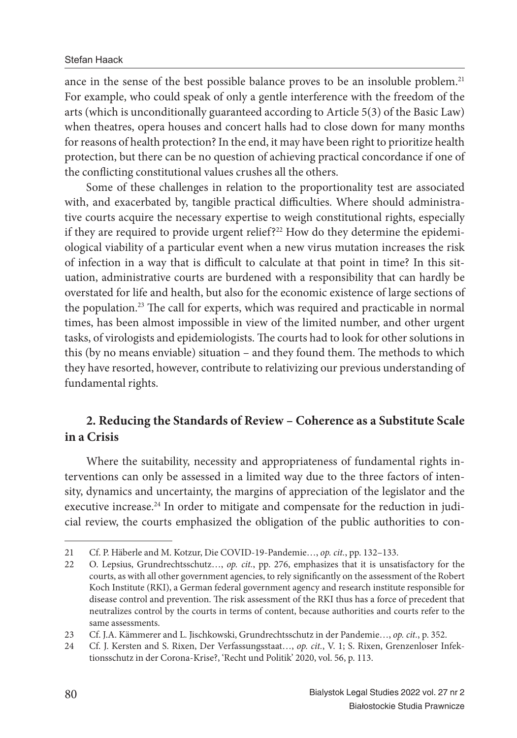ance in the sense of the best possible balance proves to be an insoluble problem.<sup>21</sup> For example, who could speak of only a gentle interference with the freedom of the arts (which is unconditionally guaranteed according to Article 5(3) of the Basic Law) when theatres, opera houses and concert halls had to close down for many months for reasons of health protection? In the end, it may have been right to prioritize health protection, but there can be no question of achieving practical concordance if one of the conflicting constitutional values crushes all the others.

Some of these challenges in relation to the proportionality test are associated with, and exacerbated by, tangible practical difficulties. Where should administrative courts acquire the necessary expertise to weigh constitutional rights, especially if they are required to provide urgent relief?<sup>22</sup> How do they determine the epidemiological viability of a particular event when a new virus mutation increases the risk of infection in a way that is difficult to calculate at that point in time? In this situation, administrative courts are burdened with a responsibility that can hardly be overstated for life and health, but also for the economic existence of large sections of the population.<sup>23</sup> The call for experts, which was required and practicable in normal times, has been almost impossible in view of the limited number, and other urgent tasks, of virologists and epidemiologists. The courts had to look for other solutions in this (by no means enviable) situation - and they found them. The methods to which they have resorted, however, contribute to relativizing our previous understanding of fundamental rights.

## **2. Reducing the Standards of Review – Coherence as a Substitute Scale in a Crisis**

Where the suitability, necessity and appropriateness of fundamental rights interventions can only be assessed in a limited way due to the three factors of intensity, dynamics and uncertainty, the margins of appreciation of the legislator and the executive increase.<sup>24</sup> In order to mitigate and compensate for the reduction in judicial review, the courts emphasized the obligation of the public authorities to con-

<sup>21</sup> Cf. P. Häberle and M. Kotzur, Die COVID-19-Pandemie…, *op. cit.*, pp. 132–133.

<sup>22</sup> O. Lepsius, Grundrechtsschutz…, *op. cit.*, pp. 276, emphasizes that it is unsatisfactory for the courts, as with all other government agencies, to rely significantly on the assessment of the Robert Koch Institute (RKI), a German federal government agency and research institute responsible for disease control and prevention. The risk assessment of the RKI thus has a force of precedent that neutralizes control by the courts in terms of content, because authorities and courts refer to the same assessments.

<sup>23</sup> Cf. J.A. Kämmerer and L. Jischkowski, Grundrechtsschutz in der Pandemie…, *op. cit.*, p. 352.

<sup>24</sup> Cf. J. Kersten and S. Rixen, Der Verfassungsstaat…, *op. cit.*, V. 1; S. Rixen, Grenzenloser Infektionsschutz in der Corona-Krise?, 'Recht und Politik' 2020, vol. 56, p. 113.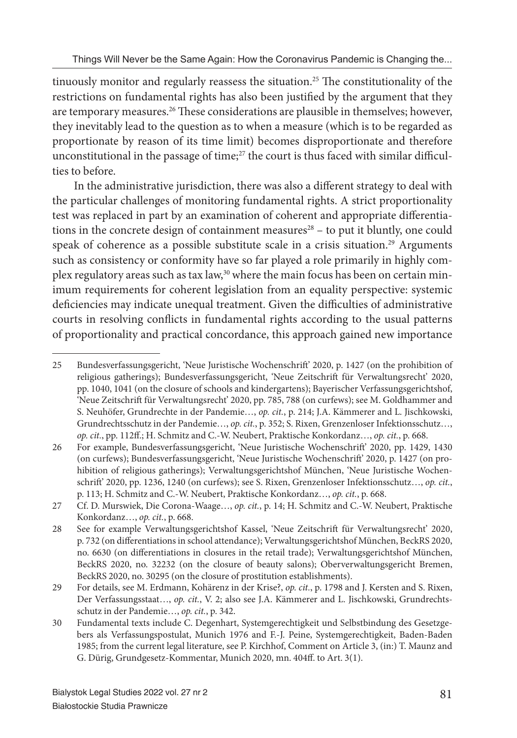tinuously monitor and regularly reassess the situation.<sup>25</sup> The constitutionality of the restrictions on fundamental rights has also been justified by the argument that they are temporary measures.<sup>26</sup> These considerations are plausible in themselves; however, they inevitably lead to the question as to when a measure (which is to be regarded as proportionate by reason of its time limit) becomes disproportionate and therefore unconstitutional in the passage of time;<sup>27</sup> the court is thus faced with similar difficulties to before.

In the administrative jurisdiction, there was also a different strategy to deal with the particular challenges of monitoring fundamental rights. A strict proportionality test was replaced in part by an examination of coherent and appropriate differentiations in the concrete design of containment measures $28 -$  to put it bluntly, one could speak of coherence as a possible substitute scale in a crisis situation.<sup>29</sup> Arguments such as consistency or conformity have so far played a role primarily in highly complex regulatory areas such as tax law,<sup>30</sup> where the main focus has been on certain minimum requirements for coherent legislation from an equality perspective: systemic deficiencies may indicate unequal treatment. Given the difficulties of administrative courts in resolving conflicts in fundamental rights according to the usual patterns of proportionality and practical concordance, this approach gained new importance

<sup>25</sup> Bundesverfassungsgericht, 'Neue Juristische Wochenschrift ' 2020, p. 1427 (on the prohibition of religious gatherings); Bundesverfassungsgericht, 'Neue Zeitschrift für Verwaltungsrecht' 2020, pp. 1040, 1041 (on the closure of schools and kindergartens); Bayerischer Verfassungsgerichtshof, 'Neue Zeitschrift für Verwaltungsrecht' 2020, pp. 785, 788 (on curfews); see M. Goldhammer and S. Neuhöfer, Grundrechte in der Pandemie…, *op. cit.*, p. 214; J.A. Kämmerer and L. Jischkowski, Grundrechtsschutz in der Pandemie…, *op. cit.*, p. 352; S. Rixen, Grenzenloser Infektionsschutz…, *op. cit.*, pp. 112ff .; H. Schmitz and C.-W. Neubert, Praktische Konkordanz…, *op. cit.*, p. 668.

<sup>26</sup> For example, Bundesverfassungsgericht, 'Neue Juristische Wochenschrift ' 2020, pp. 1429, 1430 (on curfews); Bundesverfassungsgericht, 'Neue Juristische Wochenschrift ' 2020, p. 1427 (on prohibition of religious gatherings); Verwaltungsgerichtshof München, 'Neue Juristische Wochenschrift ' 2020, pp. 1236, 1240 (on curfews); see S. Rixen, Grenzenloser Infektionsschutz…, *op. cit.*, p. 113; H. Schmitz and C.-W. Neubert, Praktische Konkordanz…, *op. cit.*, p. 668.

<sup>27</sup> Cf. D. Murswiek, Die Corona-Waage…, *op. cit.*, p. 14; H. Schmitz and C.-W. Neubert, Praktische Konkordanz…, *op. cit.*, p. 668.

<sup>28</sup> See for example Verwaltungsgerichtshof Kassel, 'Neue Zeitschrift für Verwaltungsrecht' 2020, p. 732 (on differentiations in school attendance); Verwaltungsgerichtshof München, BeckRS 2020, no. 6630 (on differentiations in closures in the retail trade); Verwaltungsgerichtshof München, BeckRS 2020, no. 32232 (on the closure of beauty salons); Oberverwaltungsgericht Bremen, BeckRS 2020, no. 30295 (on the closure of prostitution establishments).

<sup>29</sup> For details, see M. Erdmann, Kohärenz in der Krise?, *op. cit.*, p. 1798 and J. Kersten and S. Rixen, Der Verfassungsstaat…, *op. cit.*, V. 2; also see J.A. Kämmerer and L. Jischkowski, Grundrechtsschutz in der Pandemie…, *op. cit.*, p. 342.

<sup>30</sup> Fundamental texts include C. Degenhart, Systemgerechtigkeit und Selbstbindung des Gesetzgebers als Verfassungspostulat, Munich 1976 and F.-J. Peine, Systemgerechtigkeit, Baden-Baden 1985; from the current legal literature, see P. Kirchhof, Comment on Article 3, (in:) T. Maunz and G. Dürig, Grundgesetz-Kommentar, Munich 2020, mn. 404ff . to Art. 3(1).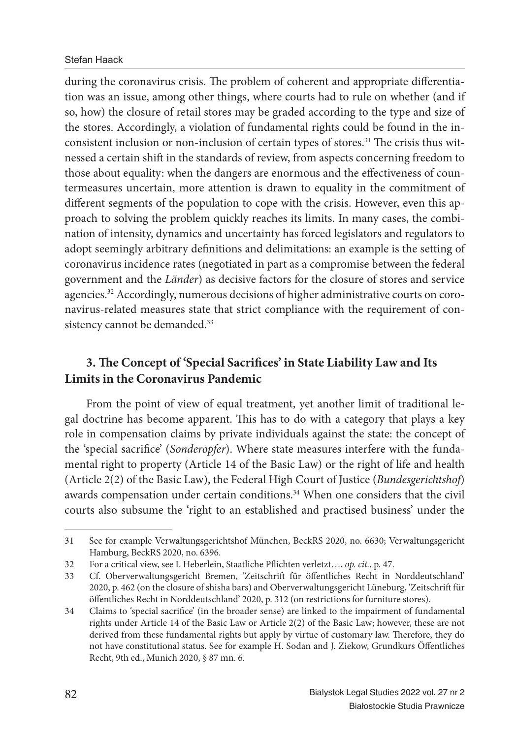during the coronavirus crisis. The problem of coherent and appropriate differentiation was an issue, among other things, where courts had to rule on whether (and if so, how) the closure of retail stores may be graded according to the type and size of the stores. Accordingly, a violation of fundamental rights could be found in the inconsistent inclusion or non-inclusion of certain types of stores.<sup>31</sup> The crisis thus witnessed a certain shift in the standards of review, from aspects concerning freedom to those about equality: when the dangers are enormous and the effectiveness of countermeasures uncertain, more attention is drawn to equality in the commitment of different segments of the population to cope with the crisis. However, even this approach to solving the problem quickly reaches its limits. In many cases, the combination of intensity, dynamics and uncertainty has forced legislators and regulators to adopt seemingly arbitrary definitions and delimitations: an example is the setting of coronavirus incidence rates (negotiated in part as a compromise between the federal government and the *Länder*) as decisive factors for the closure of stores and service agencies.32 Accordingly, numerous decisions of higher administrative courts on coronavirus-related measures state that strict compliance with the requirement of consistency cannot be demanded.<sup>33</sup>

## **3. The Concept of 'Special Sacrifices' in State Liability Law and Its Limits in the Coronavirus Pandemic**

From the point of view of equal treatment, yet another limit of traditional legal doctrine has become apparent. This has to do with a category that plays a key role in compensation claims by private individuals against the state: the concept of the 'special sacrifice' (*Sonderopfer*). Where state measures interfere with the fundamental right to property (Article 14 of the Basic Law) or the right of life and health (Article 2(2) of the Basic Law), the Federal High Court of Justice (*Bundesgerichtshof*) awards compensation under certain conditions.<sup>34</sup> When one considers that the civil courts also subsume the 'right to an established and practised business' under the

<sup>31</sup> See for example Verwaltungsgerichtshof München, BeckRS 2020, no. 6630; Verwaltungsgericht Hamburg, BeckRS 2020, no. 6396.

<sup>32</sup> For a critical view, see I. Heberlein, Staatliche Pflichten verletzt..., *op. cit.*, p. 47.

<sup>33</sup> Cf. Oberverwaltungsgericht Bremen, 'Zeitschrift für öffentliches Recht in Norddeutschland' 2020, p. 462 (on the closure of shisha bars) and Oberverwaltungsgericht Lüneburg, 'Zeitschrift für öffentliches Recht in Norddeutschland' 2020, p. 312 (on restrictions for furniture stores).

<sup>34</sup> Claims to 'special sacrifice' (in the broader sense) are linked to the impairment of fundamental rights under Article 14 of the Basic Law or Article 2(2) of the Basic Law; however, these are not derived from these fundamental rights but apply by virtue of customary law. Therefore, they do not have constitutional status. See for example H. Sodan and J. Ziekow, Grundkurs Öffentliches Recht, 9th ed., Munich 2020, § 87 mn. 6.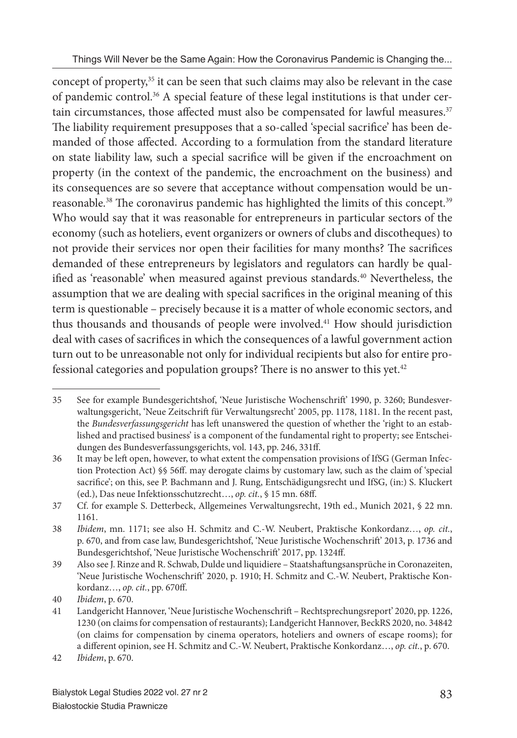concept of property,35 it can be seen that such claims may also be relevant in the case of pandemic control.36 A special feature of these legal institutions is that under certain circumstances, those affected must also be compensated for lawful measures. $37$ The liability requirement presupposes that a so-called 'special sacrifice' has been demanded of those affected. According to a formulation from the standard literature on state liability law, such a special sacrifice will be given if the encroachment on property (in the context of the pandemic, the encroachment on the business) and its consequences are so severe that acceptance without compensation would be unreasonable.<sup>38</sup> The coronavirus pandemic has highlighted the limits of this concept.<sup>39</sup> Who would say that it was reasonable for entrepreneurs in particular sectors of the economy (such as hoteliers, event organizers or owners of clubs and discotheques) to not provide their services nor open their facilities for many months? The sacrifices demanded of these entrepreneurs by legislators and regulators can hardly be qualified as 'reasonable' when measured against previous standards.<sup>40</sup> Nevertheless, the assumption that we are dealing with special sacrifices in the original meaning of this term is questionable – precisely because it is a matter of whole economic sectors, and thus thousands and thousands of people were involved.41 How should jurisdiction deal with cases of sacrifices in which the consequences of a lawful government action turn out to be unreasonable not only for individual recipients but also for entire professional categories and population groups? There is no answer to this yet.<sup>42</sup>

<sup>35</sup> See for example Bundesgerichtshof, 'Neue Juristische Wochenschrift ' 1990, p. 3260; Bundesverwaltungsgericht, 'Neue Zeitschrift für Verwaltungsrecht' 2005, pp. 1178, 1181. In the recent past, the *Bundesverfassungsgericht* has left unanswered the question of whether the 'right to an established and practised business' is a component of the fundamental right to property; see Entscheidungen des Bundesverfassungsgerichts, vol. 143, pp. 246, 331ff .

<sup>36</sup> It may be left open, however, to what extent the compensation provisions of IfSG (German Infection Protection Act) §§ 56ff. may derogate claims by customary law, such as the claim of 'special sacrifice'; on this, see P. Bachmann and J. Rung, Entschädigungsrecht und IfSG, (in:) S. Kluckert (ed.), Das neue Infektionsschutzrecht…, *op. cit.*, § 15 mn. 68ff .

<sup>37</sup> Cf. for example S. Detterbeck, Allgemeines Verwaltungsrecht, 19th ed., Munich 2021, § 22 mn. 1161.

<sup>38</sup> *Ibidem*, mn. 1171; see also H. Schmitz and C.-W. Neubert, Praktische Konkordanz…, *op. cit.*, p. 670, and from case law, Bundesgerichtshof, 'Neue Juristische Wochenschrift ' 2013, p. 1736 and Bundesgerichtshof, 'Neue Juristische Wochenschrift' 2017, pp. 1324ff.

<sup>39</sup> Also see J. Rinze and R. Schwab, Dulde und liquidiere – Staatshaft ungsansprüche in Coronazeiten, 'Neue Juristische Wochenschrift' 2020, p. 1910; H. Schmitz and C.-W. Neubert, Praktische Konkordanz…, *op. cit.*, pp. 670ff .

<sup>40</sup> *Ibidem*, p. 670.

<sup>41</sup> Landgericht Hannover, 'Neue Juristische Wochenschrift – Rechtsprechungsreport' 2020, pp. 1226, 1230 (on claims for compensation of restaurants); Landgericht Hannover, BeckRS 2020, no. 34842 (on claims for compensation by cinema operators, hoteliers and owners of escape rooms); for a different opinion, see H. Schmitz and C.-W. Neubert, Praktische Konkordanz..., op. cit., p. 670.

<sup>42</sup> *Ibidem*, p. 670.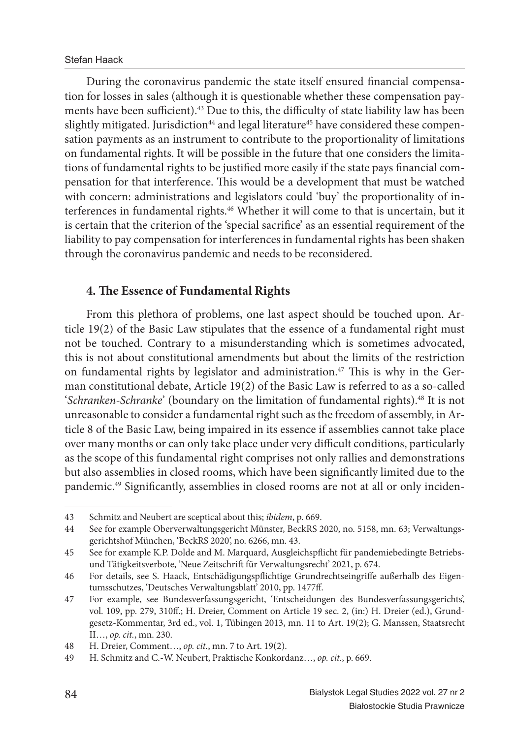During the coronavirus pandemic the state itself ensured financial compensation for losses in sales (although it is questionable whether these compensation payments have been sufficient). $43$  Due to this, the difficulty of state liability law has been slightly mitigated. Jurisdiction<sup>44</sup> and legal literature<sup>45</sup> have considered these compensation payments as an instrument to contribute to the proportionality of limitations on fundamental rights. It will be possible in the future that one considers the limitations of fundamental rights to be justified more easily if the state pays financial compensation for that interference. This would be a development that must be watched with concern: administrations and legislators could 'buy' the proportionality of interferences in fundamental rights.46 Whether it will come to that is uncertain, but it is certain that the criterion of the 'special sacrifice' as an essential requirement of the liability to pay compensation for interferences in fundamental rights has been shaken through the coronavirus pandemic and needs to be reconsidered.

### **4. The Essence of Fundamental Rights**

From this plethora of problems, one last aspect should be touched upon. Article 19(2) of the Basic Law stipulates that the essence of a fundamental right must not be touched. Contrary to a misunderstanding which is sometimes advocated, this is not about constitutional amendments but about the limits of the restriction on fundamental rights by legislator and administration.<sup>47</sup> This is why in the German constitutional debate, Article 19(2) of the Basic Law is referred to as a so-called '*Schranken-Schranke*' (boundary on the limitation of fundamental rights).48 It is not unreasonable to consider a fundamental right such as the freedom of assembly, in Article 8 of the Basic Law, being impaired in its essence if assemblies cannot take place over many months or can only take place under very difficult conditions, particularly as the scope of this fundamental right comprises not only rallies and demonstrations but also assemblies in closed rooms, which have been significantly limited due to the pandemic.<sup>49</sup> Significantly, assemblies in closed rooms are not at all or only inciden-

<sup>43</sup> Schmitz and Neubert are sceptical about this; *ibidem*, p. 669.

<sup>44</sup> See for example Oberverwaltungsgericht Münster, BeckRS 2020, no. 5158, mn. 63; Verwaltungsgerichtshof München, 'BeckRS 2020', no. 6266, mn. 43.

<sup>45</sup> See for example K.P. Dolde and M. Marquard, Ausgleichspflicht für pandemiebedingte Betriebsund Tätigkeitsverbote, 'Neue Zeitschrift für Verwaltungsrecht' 2021, p. 674.

<sup>46</sup> For details, see S. Haack, Entschädigungspflichtige Grundrechtseingriffe außerhalb des Eigentumsschutzes, 'Deutsches Verwaltungsblatt' 2010, pp. 1477ff.

<sup>47</sup> For example, see Bundesverfassungsgericht, 'Entscheidungen des Bundesverfassungsgerichts', vol. 109, pp. 279, 310ff.; H. Dreier, Comment on Article 19 sec. 2, (in:) H. Dreier (ed.), Grundgesetz-Kommentar, 3rd ed., vol. 1, Tübingen 2013, mn. 11 to Art. 19(2); G. Manssen, Staatsrecht II…, *op. cit.*, mn. 230.

<sup>48</sup> H. Dreier, Comment…, *op. cit.*, mn. 7 to Art. 19(2).

<sup>49</sup> H. Schmitz and C.-W. Neubert, Praktische Konkordanz…, *op. cit.*, p. 669.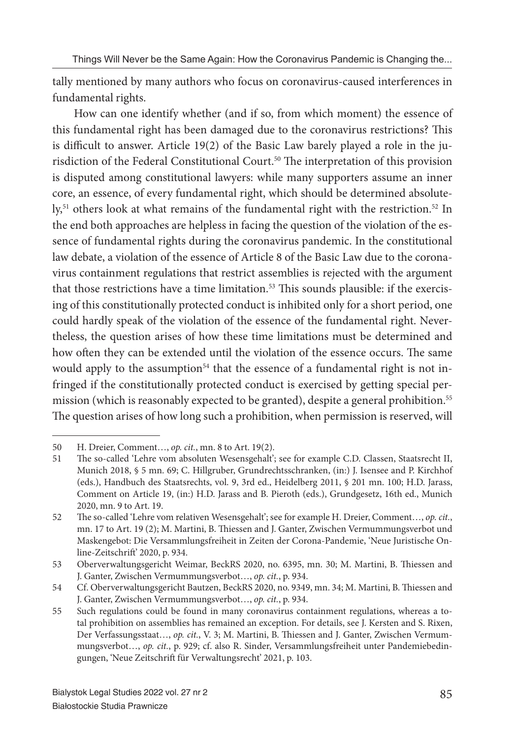tally mentioned by many authors who focus on coronavirus-caused interferences in fundamental rights.

How can one identify whether (and if so, from which moment) the essence of this fundamental right has been damaged due to the coronavirus restrictions? This is difficult to answer. Article 19(2) of the Basic Law barely played a role in the jurisdiction of the Federal Constitutional Court.<sup>50</sup> The interpretation of this provision is disputed among constitutional lawyers: while many supporters assume an inner core, an essence, of every fundamental right, which should be determined absolutely,<sup>51</sup> others look at what remains of the fundamental right with the restriction.<sup>52</sup> In the end both approaches are helpless in facing the question of the violation of the essence of fundamental rights during the coronavirus pandemic. In the constitutional law debate, a violation of the essence of Article 8 of the Basic Law due to the coronavirus containment regulations that restrict assemblies is rejected with the argument that those restrictions have a time limitation.<sup>53</sup> This sounds plausible: if the exercising of this constitutionally protected conduct is inhibited only for a short period, one could hardly speak of the violation of the essence of the fundamental right. Nevertheless, the question arises of how these time limitations must be determined and how often they can be extended until the violation of the essence occurs. The same would apply to the assumption<sup>54</sup> that the essence of a fundamental right is not infringed if the constitutionally protected conduct is exercised by getting special permission (which is reasonably expected to be granted), despite a general prohibition.55 The question arises of how long such a prohibition, when permission is reserved, will

<sup>50</sup> H. Dreier, Comment…, *op. cit.*, mn. 8 to Art. 19(2).

<sup>51</sup> Th e so-called 'Lehre vom absoluten Wesensgehalt'; see for example C.D. Classen, Staatsrecht II, Munich 2018, § 5 mn. 69; C. Hillgruber, Grundrechtsschranken, (in:) J. Isensee and P. Kirchhof (eds.), Handbuch des Staatsrechts, vol. 9, 3rd ed., Heidelberg 2011, § 201 mn. 100; H.D. Jarass, Comment on Article 19, (in:) H.D. Jarass and B. Pieroth (eds.), Grundgesetz, 16th ed., Munich 2020, mn. 9 to Art. 19.

<sup>52</sup> Th e so-called 'Lehre vom relativen Wesensgehalt'; see for example H. Dreier, Comment…, *op. cit.*, mn. 17 to Art. 19 (2); M. Martini, B. Thiessen and J. Ganter, Zwischen Vermummungsverbot und Maskengebot: Die Versammlungsfreiheit in Zeiten der Corona-Pandemie, 'Neue Juristische Online-Zeitschrift' 2020, p. 934.

<sup>53</sup> Oberverwaltungsgericht Weimar, BeckRS 2020, no. 6395, mn. 30; M. Martini, B. Thiessen and J. Ganter, Zwischen Vermummungsverbot…, *op. cit.*, p. 934.

<sup>54</sup> Cf. Oberverwaltungsgericht Bautzen, BeckRS 2020, no. 9349, mn. 34; M. Martini, B. Thiessen and J. Ganter, Zwischen Vermummungsverbot…, *op. cit.*, p. 934.

<sup>55</sup> Such regulations could be found in many coronavirus containment regulations, whereas a total prohibition on assemblies has remained an exception. For details, see J. Kersten and S. Rixen, Der Verfassungsstaat..., op. cit., V. 3; M. Martini, B. Thiessen and J. Ganter, Zwischen Vermummungsverbot…, *op. cit.*, p. 929; cf. also R. Sinder, Versammlungsfreiheit unter Pandemiebedingungen, 'Neue Zeitschrift für Verwaltungsrecht' 2021, p. 103.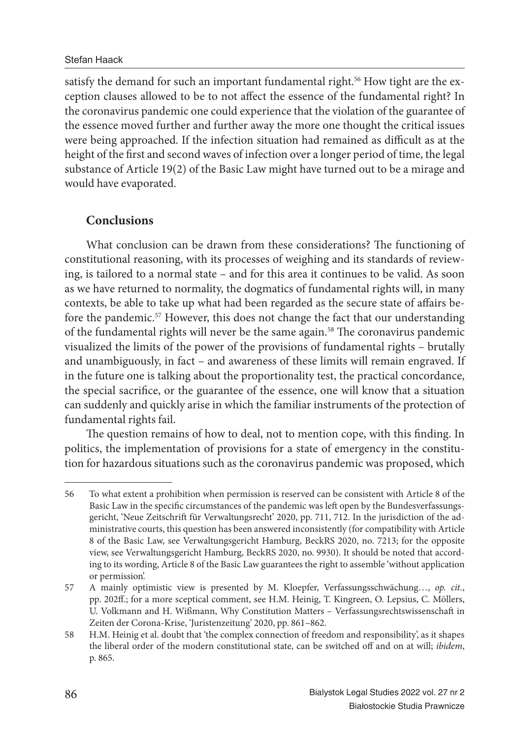#### Stefan Haack

satisfy the demand for such an important fundamental right.<sup>56</sup> How tight are the exception clauses allowed to be to not affect the essence of the fundamental right? In the coronavirus pandemic one could experience that the violation of the guarantee of the essence moved further and further away the more one thought the critical issues were being approached. If the infection situation had remained as difficult as at the height of the first and second waves of infection over a longer period of time, the legal substance of Article 19(2) of the Basic Law might have turned out to be a mirage and would have evaporated.

### **Conclusions**

What conclusion can be drawn from these considerations? The functioning of constitutional reasoning, with its processes of weighing and its standards of reviewing, is tailored to a normal state – and for this area it continues to be valid. As soon as we have returned to normality, the dogmatics of fundamental rights will, in many contexts, be able to take up what had been regarded as the secure state of affairs before the pandemic.<sup>57</sup> However, this does not change the fact that our understanding of the fundamental rights will never be the same again.<sup>58</sup> The coronavirus pandemic visualized the limits of the power of the provisions of fundamental rights – brutally and unambiguously, in fact – and awareness of these limits will remain engraved. If in the future one is talking about the proportionality test, the practical concordance, the special sacrifice, or the guarantee of the essence, one will know that a situation can suddenly and quickly arise in which the familiar instruments of the protection of fundamental rights fail.

The question remains of how to deal, not to mention cope, with this finding. In politics, the implementation of provisions for a state of emergency in the constitution for hazardous situations such as the coronavirus pandemic was proposed, which

<sup>56</sup> To what extent a prohibition when permission is reserved can be consistent with Article 8 of the Basic Law in the specific circumstances of the pandemic was left open by the Bundesverfassungsgericht, 'Neue Zeitschrift für Verwaltungsrecht' 2020, pp. 711, 712. In the jurisdiction of the administrative courts, this question has been answered inconsistently (for compatibility with Article 8 of the Basic Law, see Verwaltungsgericht Hamburg, BeckRS 2020, no. 7213; for the opposite view, see Verwaltungsgericht Hamburg, BeckRS 2020, no. 9930). It should be noted that according to its wording, Article 8 of the Basic Law guarantees the right to assemble 'without application or permission'.

<sup>57</sup> A mainly optimistic view is presented by M. Kloepfer, Verfassungsschwächung…, *op. cit.*, pp. 202ff.; for a more sceptical comment, see H.M. Heinig, T. Kingreen, O. Lepsius, C. Möllers, U. Volkmann and H. Wißmann, Why Constitution Matters – Verfassungsrechtswissenschaft in Zeiten der Corona-Krise, 'Juristenzeitung' 2020, pp. 861–862.

<sup>58</sup> H.M. Heinig et al. doubt that 'the complex connection of freedom and responsibility', as it shapes the liberal order of the modern constitutional state, can be switched off and on at will; *ibidem*, p. 865.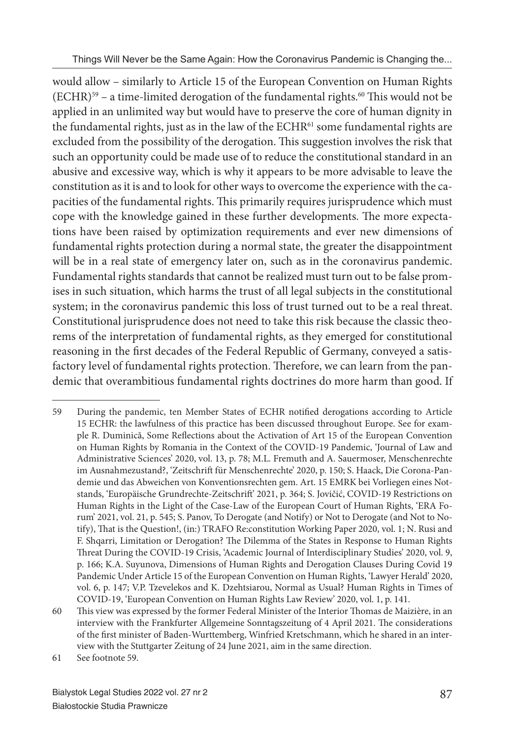would allow – similarly to Article 15 of the European Convention on Human Rights  $(ECHR)^{59}$  – a time-limited derogation of the fundamental rights.<sup>60</sup> This would not be applied in an unlimited way but would have to preserve the core of human dignity in the fundamental rights, just as in the law of the ECHR<sup>61</sup> some fundamental rights are excluded from the possibility of the derogation. This suggestion involves the risk that such an opportunity could be made use of to reduce the constitutional standard in an abusive and excessive way, which is why it appears to be more advisable to leave the constitution as it is and to look for other ways to overcome the experience with the capacities of the fundamental rights. This primarily requires jurisprudence which must cope with the knowledge gained in these further developments. The more expectations have been raised by optimization requirements and ever new dimensions of fundamental rights protection during a normal state, the greater the disappointment will be in a real state of emergency later on, such as in the coronavirus pandemic. Fundamental rights standards that cannot be realized must turn out to be false promises in such situation, which harms the trust of all legal subjects in the constitutional system; in the coronavirus pandemic this loss of trust turned out to be a real threat. Constitutional jurisprudence does not need to take this risk because the classic theorems of the interpretation of fundamental rights, as they emerged for constitutional reasoning in the first decades of the Federal Republic of Germany, conveyed a satisfactory level of fundamental rights protection. Therefore, we can learn from the pandemic that overambitious fundamental rights doctrines do more harm than good. If

<sup>59</sup> During the pandemic, ten Member States of ECHR notified derogations according to Article 15 ECHR: the lawfulness of this practice has been discussed throughout Europe. See for example R. Duminică, Some Reflections about the Activation of Art 15 of the European Convention on Human Rights by Romania in the Context of the COVID-19 Pandemic, 'Journal of Law and Administrative Sciences' 2020, vol. 13, p. 78; M.L. Fremuth and A. Sauermoser, Menschenrechte im Ausnahmezustand?, 'Zeitschrift für Menschenrechte' 2020, p. 150; S. Haack, Die Corona-Pandemie und das Abweichen von Konventionsrechten gem. Art. 15 EMRK bei Vorliegen eines Notstands, 'Europäische Grundrechte-Zeitschrift ' 2021, p. 364; S. Jovičić, COVID-19 Restrictions on Human Rights in the Light of the Case-Law of the European Court of Human Rights, 'ERA Forum' 2021, vol. 21, p. 545; S. Panov, To Derogate (and Notify) or Not to Derogate (and Not to Notify), That is the Question!, (in:) TRAFO Re:constitution Working Paper 2020, vol. 1; N. Rusi and F. Shqarri, Limitation or Derogation? The Dilemma of the States in Response to Human Rights Th reat During the COVID-19 Crisis, 'Academic Journal of Interdisciplinary Studies' 2020, vol. 9, p. 166; K.A. Suyunova, Dimensions of Human Rights and Derogation Clauses During Covid 19 Pandemic Under Article 15 of the European Convention on Human Rights, 'Lawyer Herald' 2020, vol. 6, p. 147; V.P. Tzevelekos and K. Dzehtsiarou, Normal as Usual? Human Rights in Times of COVID-19, 'European Convention on Human Rights Law Review' 2020, vol. 1, p. 141.

<sup>60</sup> This view was expressed by the former Federal Minister of the Interior Thomas de Maizière, in an interview with the Frankfurter Allgemeine Sonntagszeitung of 4 April 2021. The considerations of the first minister of Baden-Wurttemberg, Winfried Kretschmann, which he shared in an interview with the Stuttgarter Zeitung of 24 June 2021, aim in the same direction.

<sup>61</sup> See footnote 59.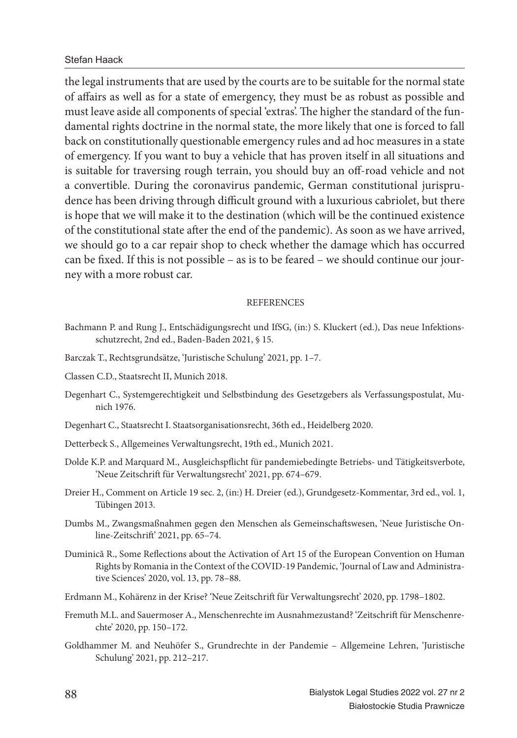#### Stefan Haack

the legal instruments that are used by the courts are to be suitable for the normal state of affairs as well as for a state of emergency, they must be as robust as possible and must leave aside all components of special 'extras'. The higher the standard of the fundamental rights doctrine in the normal state, the more likely that one is forced to fall back on constitutionally questionable emergency rules and ad hoc measures in a state of emergency. If you want to buy a vehicle that has proven itself in all situations and is suitable for traversing rough terrain, you should buy an off -road vehicle and not a convertible. During the coronavirus pandemic, German constitutional jurisprudence has been driving through difficult ground with a luxurious cabriolet, but there is hope that we will make it to the destination (which will be the continued existence of the constitutional state after the end of the pandemic). As soon as we have arrived, we should go to a car repair shop to check whether the damage which has occurred can be fixed. If this is not possible – as is to be feared – we should continue our journey with a more robust car.

#### **REFERENCES**

- Bachmann P. and Rung J., Entschädigungsrecht und IfSG, (in:) S. Kluckert (ed.), Das neue Infektionsschutzrecht, 2nd ed., Baden-Baden 2021, § 15.
- Barczak T., Rechtsgrundsätze, 'Juristische Schulung' 2021, pp. 1–7.
- Classen C.D., Staatsrecht II, Munich 2018.
- Degenhart C., Systemgerechtigkeit und Selbstbindung des Gesetzgebers als Verfassungspostulat, Munich 1976.
- Degenhart C., Staatsrecht I. Staatsorganisationsrecht, 36th ed., Heidelberg 2020.
- Detterbeck S., Allgemeines Verwaltungsrecht, 19th ed., Munich 2021.
- Dolde K.P. and Marquard M., Ausgleichspflicht für pandemiebedingte Betriebs- und Tätigkeitsverbote, 'Neue Zeitschrift für Verwaltungsrecht' 2021, pp. 674–679.
- Dreier H., Comment on Article 19 sec. 2, (in:) H. Dreier (ed.), Grundgesetz-Kommentar, 3rd ed., vol. 1, Tübingen 2013.
- Dumbs M., Zwangsmaßnahmen gegen den Menschen als Gemeinschaftswesen, 'Neue Juristische Online-Zeitschrift' 2021, pp. 65-74.
- Duminică R., Some Reflections about the Activation of Art 15 of the European Convention on Human Rights by Romania in the Context of the COVID-19 Pandemic, 'Journal of Law and Administrative Sciences' 2020, vol. 13, pp. 78–88.
- Erdmann M., Kohärenz in der Krise? 'Neue Zeitschrift für Verwaltungsrecht' 2020, pp. 1798–1802.
- Fremuth M.L. and Sauermoser A., Menschenrechte im Ausnahmezustand? 'Zeitschrift für Menschenrechte' 2020, pp. 150–172.
- Goldhammer M. and Neuhöfer S., Grundrechte in der Pandemie Allgemeine Lehren, 'Juristische Schulung' 2021, pp. 212–217.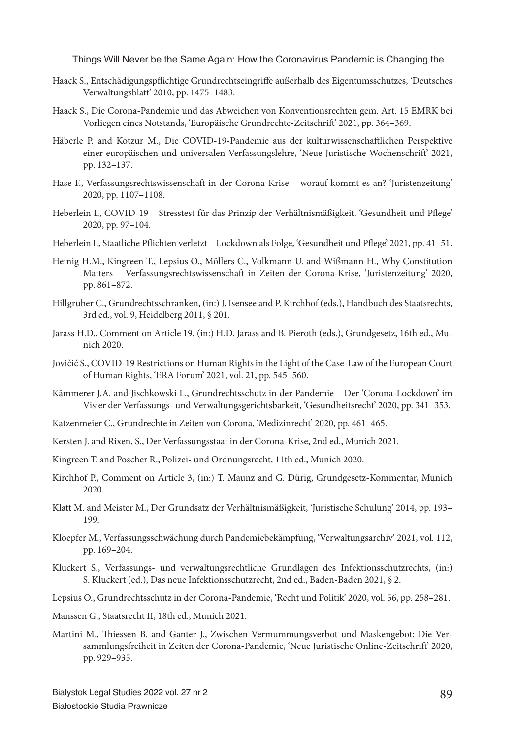- Haack S., Entschädigungspflichtige Grundrechtseingriffe außerhalb des Eigentumsschutzes, 'Deutsches Verwaltungsblatt' 2010, pp. 1475–1483.
- Haack S., Die Corona-Pandemie und das Abweichen von Konventionsrechten gem. Art. 15 EMRK bei Vorliegen eines Notstands, 'Europäische Grundrechte-Zeitschrift ' 2021, pp. 364–369.
- Häberle P. and Kotzur M., Die COVID-19-Pandemie aus der kulturwissenschaftlichen Perspektive einer europäischen und universalen Verfassungslehre, 'Neue Juristische Wochenschrift ' 2021, pp. 132–137.
- Hase F., Verfassungsrechtswissenschaft in der Corona-Krise worauf kommt es an? 'Juristenzeitung' 2020, pp. 1107–1108.
- Heberlein I., COVID-19 Stresstest für das Prinzip der Verhältnismäßigkeit, 'Gesundheit und Pflege' 2020, pp. 97–104.
- Heberlein I., Staatliche Pflichten verletzt Lockdown als Folge, 'Gesundheit und Pflege' 2021, pp. 41–51.
- Heinig H.M., Kingreen T., Lepsius O., Möllers C., Volkmann U. and Wißmann H., Why Constitution Matters – Verfassungsrechtswissenschaft in Zeiten der Corona-Krise, 'Juristenzeitung' 2020, pp. 861–872.
- Hillgruber C., Grundrechtsschranken, (in:) J. Isensee and P. Kirchhof (eds.), Handbuch des Staatsrechts, 3rd ed., vol. 9, Heidelberg 2011, § 201.
- Jarass H.D., Comment on Article 19, (in:) H.D. Jarass and B. Pieroth (eds.), Grundgesetz, 16th ed., Munich 2020.
- Jovičić S., COVID-19 Restrictions on Human Rights in the Light of the Case-Law of the European Court of Human Rights, 'ERA Forum' 2021, vol. 21, pp. 545–560.
- Kämmerer J.A. and Jischkowski L., Grundrechtsschutz in der Pandemie Der 'Corona-Lockdown' im Visier der Verfassungs- und Verwaltungsgerichtsbarkeit, 'Gesundheitsrecht' 2020, pp. 341–353.
- Katzenmeier C., Grundrechte in Zeiten von Corona, 'Medizinrecht' 2020, pp. 461–465.
- Kersten J. and Rixen, S., Der Verfassungsstaat in der Corona-Krise, 2nd ed., Munich 2021.
- Kingreen T. and Poscher R., Polizei- und Ordnungsrecht, 11th ed., Munich 2020.
- Kirchhof P., Comment on Article 3, (in:) T. Maunz and G. Dürig, Grundgesetz-Kommentar, Munich 2020.
- Klatt M. and Meister M., Der Grundsatz der Verhältnismäßigkeit, 'Juristische Schulung' 2014, pp. 193– 199.
- Kloepfer M., Verfassungsschwächung durch Pandemiebekämpfung, 'Verwaltungsarchiv' 2021, vol. 112, pp. 169–204.
- Kluckert S., Verfassungs- und verwaltungsrechtliche Grundlagen des Infektionsschutzrechts, (in:) S. Kluckert (ed.), Das neue Infektionsschutzrecht, 2nd ed., Baden-Baden 2021, § 2.
- Lepsius O., Grundrechtsschutz in der Corona-Pandemie, 'Recht und Politik' 2020, vol. 56, pp. 258–281.
- Manssen G., Staatsrecht II, 18th ed., Munich 2021.
- Martini M., Thiessen B. and Ganter J., Zwischen Vermummungsverbot und Maskengebot: Die Versammlungsfreiheit in Zeiten der Corona-Pandemie, 'Neue Juristische Online-Zeitschrift ' 2020, pp. 929–935.